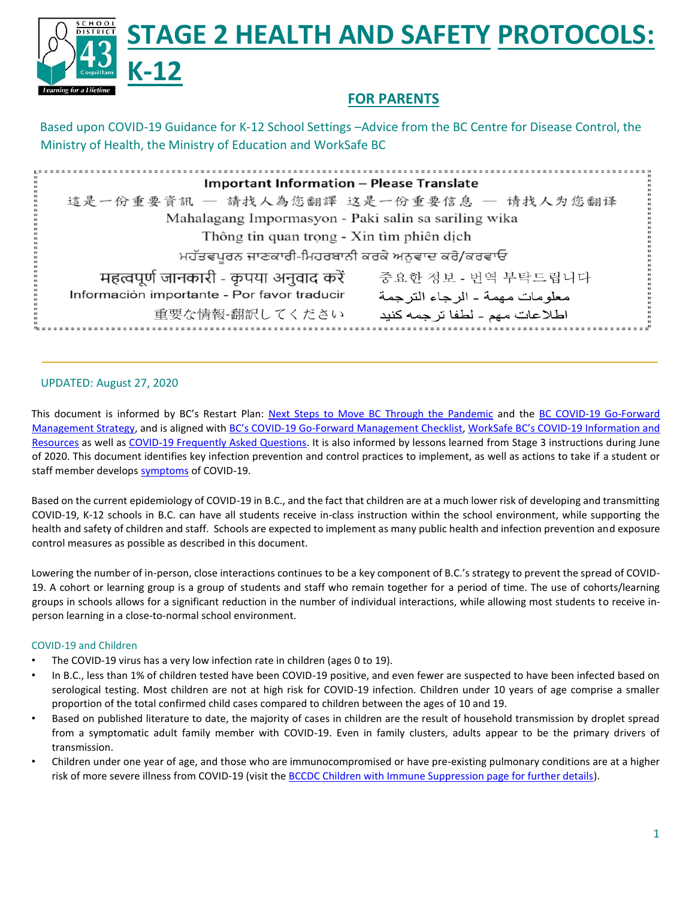

# **FOR PARENTS**

Based upon COVID-19 Guidance for K-12 School Settings –Advice from the BC Centre for Disease Control, the Ministry of Health, the Ministry of Education and WorkSafe BC

| <b>Important Information - Please Translate</b>                                 |  |
|---------------------------------------------------------------------------------|--|
| 這是一份重要資訊 - 請找人為您翻譯 这是一份重要信息 - 请找人为您翻译                                           |  |
| Mahalagang Impormasyon - Paki salin sa sariling wika                            |  |
| Thông tin quan trọng - Xin tìm phiên dịch                                       |  |
| ਮਹੱਤਵਪੂਰਨ ਜਾਣਕਾਰੀ-ਮਿਹਰਬਾਨੀ ਕਰਕੇ ਅਨੁਵਾਦ ਕਰੋ/ਕਰਵਾਓ                                |  |
| महत्वपूर्ण जानकारी - कृपया अनुवाद करें<br>중요한 정보 - 번역 부탁드립니다                    |  |
| Información importante - Por favor traducir<br>معلو مات مهمة - الر جاء التر جمة |  |
| 重要な情報-翻訳してください<br>اطلاعات مهم - لطفا ترجمه كنيد                                 |  |

### UPDATED: August 27, 2020

This document is informed by BC's Restart Plan: [Next Steps to Move BC Through the Pandemic](https://www2.gov.bc.ca/gov/content/safety/emergency-preparedness-response-recovery/covid-19-provincial-support/bc-restart-plan) and the [BC COVID-19 Go-Forward](https://www2.gov.bc.ca/assets/gov/health/about-bc-s-health-care-system/office-of-the-provincial-health-officer/covid-19/bc_covid-19_go-forward_management_strategy_web.pdf) [Management Strategy,](https://www2.gov.bc.ca/assets/gov/health/about-bc-s-health-care-system/office-of-the-provincial-health-officer/covid-19/bc_covid-19_go-forward_management_strategy_web.pdf) and is aligned with BC's COVID[-19 Go-Forward Management Checklist,](https://www2.gov.bc.ca/assets/gov/public-safety-and-emergency-services/emergency-preparedness-response-recovery/gdx/go_forward_strategy_checklist_web.pdf) [WorkSafe BC's COVID](https://www.worksafebc.com/en/about-us/covid-19-updates)-19 Information an[d](https://www.worksafebc.com/en/about-us/covid-19-updates) [Resources](https://www.worksafebc.com/en/about-us/covid-19-updates) as well a[s COVID-19 Frequently Asked Questions.](https://www.worksafebc.com/en/about-us/covid-19-updates/health-and-safety/covid-19-faqs) It is also informed by lessons learned from Stage 3 instructions during June of 2020. This document identifies key infection prevention and control practices to implement, as well as actions to take if a student or staff member develo[ps symptoms](http://www.bccdc.ca/health-info/diseases-conditions/covid-19/about-covid-19/symptoms) of COVID-19.

Based on the current epidemiology of COVID-19 in B.C., and the fact that children are at a much lower risk of developing and transmitting COVID-19, K-12 schools in B.C. can have all students receive in-class instruction within the school environment, while supporting the health and safety of children and staff. Schools are expected to implement as many public health and infection prevention and exposure control measures as possible as described in this document.

Lowering the number of in-person, close interactions continues to be a key component of B.C.'s strategy to prevent the spread of COVID-19. A cohort or learning group is a group of students and staff who remain together for a period of time. The use of cohorts/learning groups in schools allows for a significant reduction in the number of individual interactions, while allowing most students to receive inperson learning in a close-to-normal school environment.

### COVID-19 and Children

- The COVID-19 virus has a very low infection rate in children (ages 0 to 19).
- In B.C., less than 1% of children tested have been COVID-19 positive, and even fewer are suspected to have been infected based on serological testing. Most children are not at high risk for COVID-19 infection. Children under 10 years of age comprise a smaller proportion of the total confirmed child cases compared to children between the ages of 10 and 19.
- Based on published literature to date, the majority of cases in children are the result of household transmission by droplet spread from a symptomatic adult family member with COVID-19. Even in family clusters, adults appear to be the primary drivers of transmission.
- Children under one year of age, and those who are immunocompromised or have pre-existing pulmonary conditions are at a higher risk of more severe illness from COVID-19 (visit th[e BCCDC Children with Immune Suppression page for further details\).](http://www.bccdc.ca/health-info/diseases-conditions/covid-19/priority-populations/children-with-immune-suppression)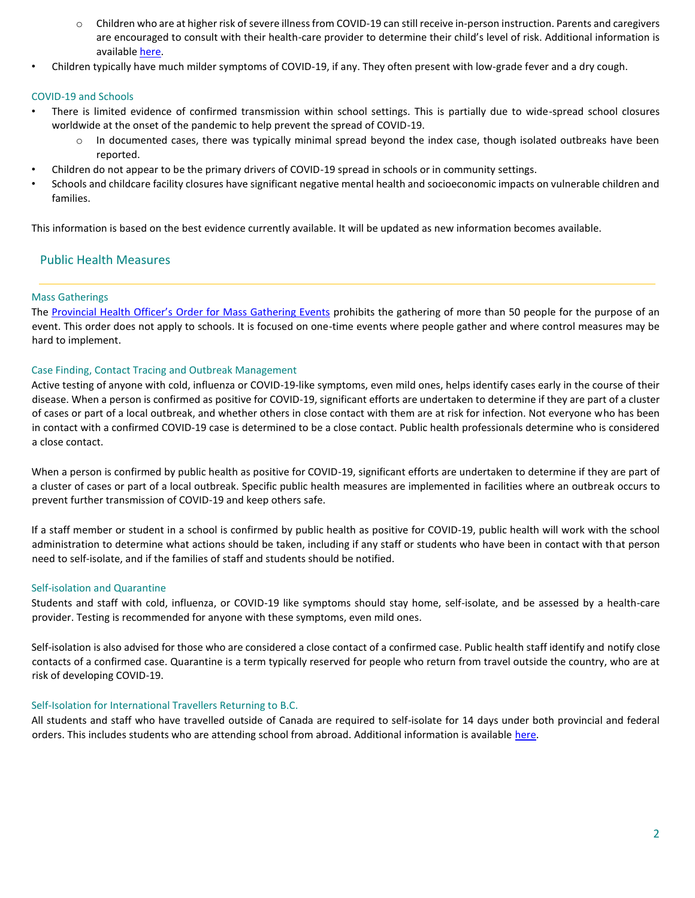- o Children who are at higher risk of severe illness from COVID-19 can still receive in-person instruction. Parents and caregivers are encouraged to consult with their health-care provider to determine their child's level of risk. Additional information is available here.
- Children typically have much milder symptoms of COVID-19, if any. They often present with low-grade fever and a dry cough.

### COVID-19 and Schools

- There is limited evidence of confirmed transmission within school settings. This is partially due to wide-spread school closures worldwide at the onset of the pandemic to help prevent the spread of COVID-19.
	- In documented cases, there was typically minimal spread beyond the index case, though isolated outbreaks have been reported.
- Children do not appear to be the primary drivers of COVID-19 spread in schools or in community settings.
- Schools and childcare facility closures have significant negative mental health and socioeconomic impacts on vulnerable children and families.

This information is based on the best evidence currently available. It will be updated as new information becomes available.

### Public Health Measures

### Mass Gatherings

The Provincial Health Officer's [Order for Mass Gathering Events](https://www2.gov.bc.ca/assets/gov/health/about-bc-s-health-care-system/office-of-the-provincial-health-officer/covid-19/covid-19-pho-order-gatherings-events.pdf) [p](https://www2.gov.bc.ca/assets/gov/health/about-bc-s-health-care-system/office-of-the-provincial-health-officer/covid-19/covid-19-pho-order-gatherings-events.pdf)rohibits the gathering of more than 50 people for the purpose of an event. This order does not apply to schools. It is focused on one-time events where people gather and where control measures may be hard to implement.

### Case Finding, Contact Tracing and Outbreak Management

Active testing of anyone with cold, influenza or COVID-19-like symptoms, even mild ones, helps identify cases early in the course of their disease. When a person is confirmed as positive for COVID-19, significant efforts are undertaken to determine if they are part of a cluster of cases or part of a local outbreak, and whether others in close contact with them are at risk for infection. Not everyone who has been in contact with a confirmed COVID-19 case is determined to be a close contact. Public health professionals determine who is considered a close contact.

When a person is confirmed by public health as positive for COVID-19, significant efforts are undertaken to determine if they are part of a cluster of cases or part of a local outbreak. Specific public health measures are implemented in facilities where an outbreak occurs to prevent further transmission of COVID-19 and keep others safe.

If a staff member or student in a school is confirmed by public health as positive for COVID-19, public health will work with the school administration to determine what actions should be taken, including if any staff or students who have been in contact with that person need to self-isolate, and if the families of staff and students should be notified.

#### Self-isolation and Quarantine

Students and staff with cold, influenza, or COVID-19 like symptoms should stay home, self-isolate, and be assessed by a health-care provider. Testing is recommended for anyone with these symptoms, even mild ones.

Self-isolation is also advised for those who are considered a close contact of a confirmed case. Public health staff identify and notify close contacts of a confirmed case. Quarantine is a term typically reserved for people who return from travel outside the country, who are at risk of developing COVID-19.

#### Self-Isolation for International Travellers Returning to B.C.

All students and staff who have travelled outside of Canada are required to self-isolate for 14 days under both provincial and federal orders. This includes students who are attending school from abroad. Additional information is availabl[e here.](https://www2.gov.bc.ca/gov/content/safety/emergency-preparedness-response-recovery/covid-19-provincial-support/self-isolation-on-return)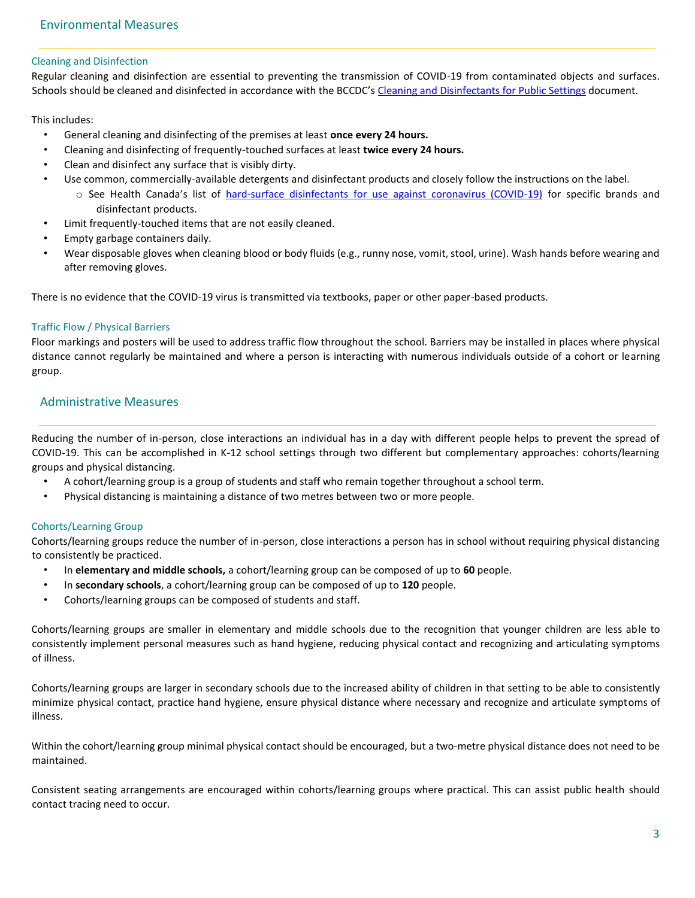#### Cleaning and Disinfection

Regular cleaning and disinfection are essential to preventing the transmission of COVID-19 from contaminated objects and surfaces. Schools should be cleaned and disinfected in accordance with the BCCDC'[s Cleaning and Disinfectants for Public Settings](http://www.bccdc.ca/Health-Info-Site/Documents/CleaningDisinfecting_PublicSettings.pdf) [do](http://www.bccdc.ca/Health-Info-Site/Documents/CleaningDisinfecting_PublicSettings.pdf)cument.

This includes:

- General cleaning and disinfecting of the premises at least **once every 24 hours.**
- Cleaning and disinfecting of frequently-touched surfaces at least **twice every 24 hours.**
- Clean and disinfect any surface that is visibly dirty.
- Use common, commercially-available detergents and disinfectant products and closely follow the instructions on the label.
	- o See Health Canada's list of [hard-surface disinfectants for use against coronavirus \(COVID-19\)](https://www.canada.ca/en/health-canada/services/drugs-health-products/disinfectants/covid-19/list.html) [f](https://www.canada.ca/en/health-canada/services/drugs-health-products/disinfectants/covid-19/list.html)or specific brands and disinfectant products.
- Limit frequently-touched items that are not easily cleaned.
- Empty garbage containers daily.
- Wear disposable gloves when cleaning blood or body fluids (e.g., runny nose, vomit, stool, urine). Wash hands before wearing and after removing gloves.

There is no evidence that the COVID-19 virus is transmitted via textbooks, paper or other paper-based products.

### Traffic Flow / Physical Barriers

Floor markings and posters will be used to address traffic flow throughout the school. Barriers may be installed in places where physical distance cannot regularly be maintained and where a person is interacting with numerous individuals outside of a cohort or learning group.

### Administrative Measures

Reducing the number of in-person, close interactions an individual has in a day with different people helps to prevent the spread of COVID-19. This can be accomplished in K-12 school settings through two different but complementary approaches: cohorts/learning groups and physical distancing.

- A cohort/learning group is a group of students and staff who remain together throughout a school term.
- Physical distancing is maintaining a distance of two metres between two or more people.

### Cohorts/Learning Group

Cohorts/learning groups reduce the number of in-person, close interactions a person has in school without requiring physical distancing to consistently be practiced.

- In **elementary and middle schools,** a cohort/learning group can be composed of up to **60** people.
- In **secondary schools**, a cohort/learning group can be composed of up to **120** people.
- Cohorts/learning groups can be composed of students and staff.

Cohorts/learning groups are smaller in elementary and middle schools due to the recognition that younger children are less able to consistently implement personal measures such as hand hygiene, reducing physical contact and recognizing and articulating symptoms of illness.

Cohorts/learning groups are larger in secondary schools due to the increased ability of children in that setting to be able to consistently minimize physical contact, practice hand hygiene, ensure physical distance where necessary and recognize and articulate symptoms of illness.

Within the cohort/learning group minimal physical contact should be encouraged, but a two-metre physical distance does not need to be maintained.

Consistent seating arrangements are encouraged within cohorts/learning groups where practical. This can assist public health should contact tracing need to occur.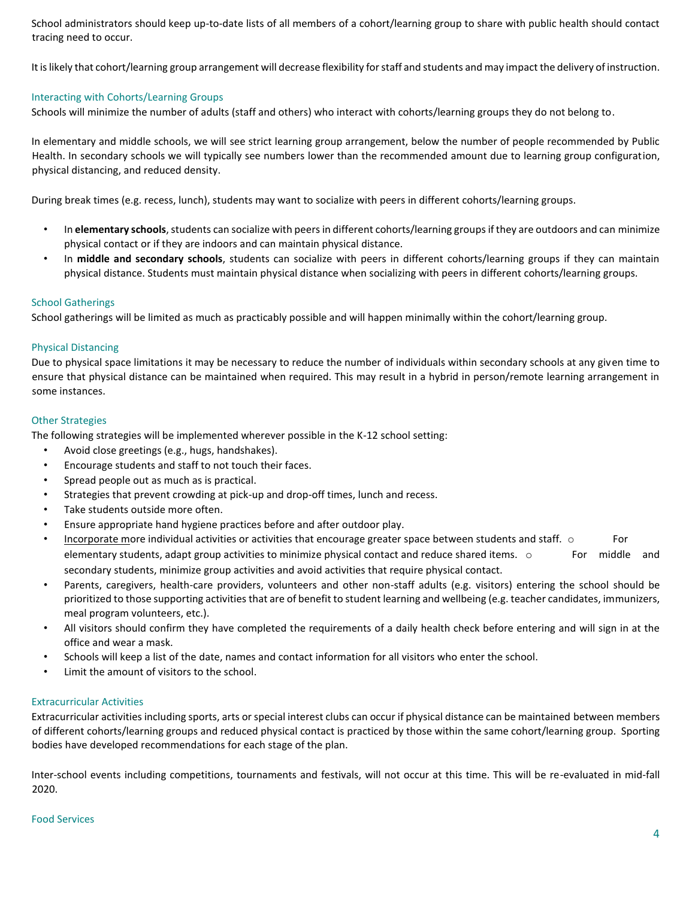School administrators should keep up-to-date lists of all members of a cohort/learning group to share with public health should contact tracing need to occur.

It is likely that cohort/learning group arrangement will decrease flexibility for staff and students and may impact the delivery of instruction.

### Interacting with Cohorts/Learning Groups

Schools will minimize the number of adults (staff and others) who interact with cohorts/learning groups they do not belong to.

In elementary and middle schools, we will see strict learning group arrangement, below the number of people recommended by Public Health. In secondary schools we will typically see numbers lower than the recommended amount due to learning group configuration, physical distancing, and reduced density.

During break times (e.g. recess, lunch), students may want to socialize with peers in different cohorts/learning groups.

- In **elementary schools**, students can socialize with peers in different cohorts/learning groups if they are outdoors and can minimize physical contact or if they are indoors and can maintain physical distance.
- In **middle and secondary schools**, students can socialize with peers in different cohorts/learning groups if they can maintain physical distance. Students must maintain physical distance when socializing with peers in different cohorts/learning groups.

### School Gatherings

School gatherings will be limited as much as practicably possible and will happen minimally within the cohort/learning group.

### Physical Distancing

Due to physical space limitations it may be necessary to reduce the number of individuals within secondary schools at any given time to ensure that physical distance can be maintained when required. This may result in a hybrid in person/remote learning arrangement in some instances.

### Other Strategies

The following strategies will be implemented wherever possible in the K-12 school setting:

- Avoid close greetings (e.g., hugs, handshakes).
- Encourage students and staff to not touch their faces.
- Spread people out as much as is practical.
- Strategies that prevent crowding at pick-up and drop-off times, lunch and recess.
- Take students outside more often.
- Ensure appropriate hand hygiene practices before and after outdoor play.
- Incorporate more individual activities or activities that encourage greater space between students and staff.  $\circ$  For elementary students, adapt group activities to minimize physical contact and reduce shared items. o For middle and secondary students, minimize group activities and avoid activities that require physical contact.
- Parents, caregivers, health-care providers, volunteers and other non-staff adults (e.g. visitors) entering the school should be prioritized to those supporting activities that are of benefit to student learning and wellbeing (e.g. teacher candidates, immunizers, meal program volunteers, etc.).
- All visitors should confirm they have completed the requirements of a daily health check before entering and will sign in at the office and wear a mask.
- Schools will keep a list of the date, names and contact information for all visitors who enter the school.
- Limit the amount of visitors to the school.

### Extracurricular Activities

Extracurricular activities including sports, arts or special interest clubs can occur if physical distance can be maintained between members of different cohorts/learning groups and reduced physical contact is practiced by those within the same cohort/learning group. Sporting bodies have developed recommendations for each stage of the plan.

Inter-school events including competitions, tournaments and festivals, will not occur at this time. This will be re-evaluated in mid-fall 2020.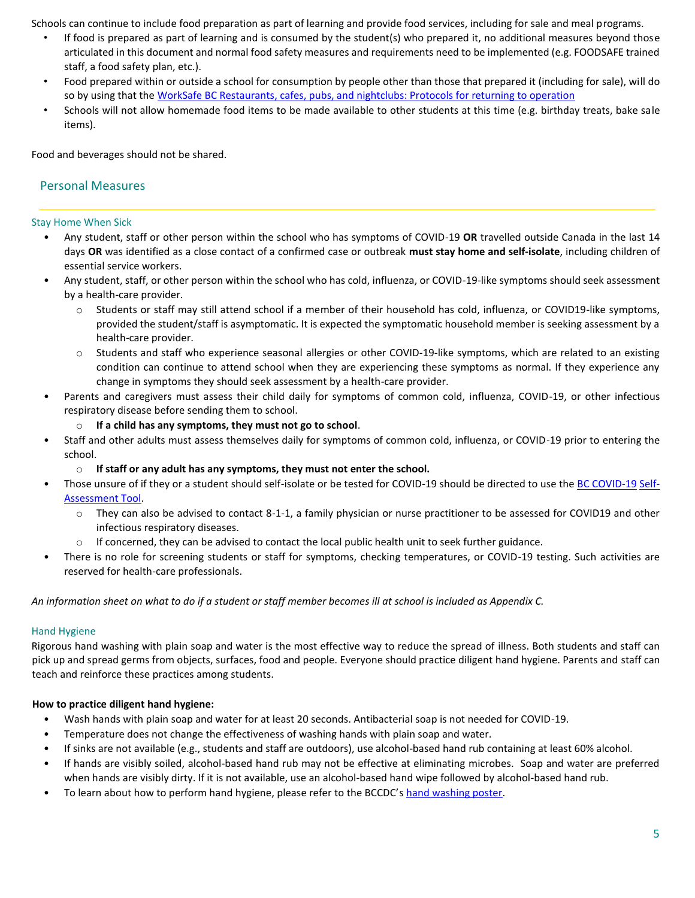Schools can continue to include food preparation as part of learning and provide food services, including for sale and meal programs.

- If food is prepared as part of learning and is consumed by the student(s) who prepared it, no additional measures beyond those articulated in this document and normal food safety measures and requirements need to be implemented (e.g. FOODSAFE trained staff, a food safety plan, etc.).
- Food prepared within or outside a school for consumption by people other than those that prepared it (including for sale), will do so by using that th[e WorkSafe BC Restaurants, cafes, pubs, and nightclubs: Protocols for returning to operation](https://www.worksafebc.com/en/about-us/covid-19-updates/covid-19-returning-safe-operation/restaurant-cafes-pubs)
- Schools will not allow homemade food items to be made available to other students at this time (e.g. birthday treats, bake sale items).

Food and beverages should not be shared.

### Personal Measures

### Stay Home When Sick

- Any student, staff or other person within the school who has symptoms of COVID-19 **OR** travelled outside Canada in the last 14 days **OR** was identified as a close contact of a confirmed case or outbreak **must stay home and self-isolate**, including children of essential service workers.
- Any student, staff, or other person within the school who has cold, influenza, or COVID-19-like symptoms should seek assessment by a health-care provider.
	- o Students or staff may still attend school if a member of their household has cold, influenza, or COVID19-like symptoms, provided the student/staff is asymptomatic. It is expected the symptomatic household member is seeking assessment by a health-care provider.
	- $\circ$  Students and staff who experience seasonal allergies or other COVID-19-like symptoms, which are related to an existing condition can continue to attend school when they are experiencing these symptoms as normal. If they experience any change in symptoms they should seek assessment by a health-care provider.
- Parents and caregivers must assess their child daily for symptoms of common cold, influenza, COVID-19, or other infectious respiratory disease before sending them to school.
	- o **If a child has any symptoms, they must not go to school**.
- Staff and other adults must assess themselves daily for symptoms of common cold, influenza, or COVID-19 prior to entering the school.
	- o **If staff or any adult has any symptoms, they must not enter the school.**
- Those unsure of if they or a student should self-isolate or be tested for COVID-19 should be directed to use th[e BC COVID-19](https://bc.thrive.health/) [Self-](https://bc.thrive.health/)[Assessment Tool.](https://bc.thrive.health/) 
	- $\circ$  They can also be advised to contact 8-1-1, a family physician or nurse practitioner to be assessed for COVID19 and other infectious respiratory diseases.
	- $\circ$  If concerned, they can be advised to contact the local public health unit to seek further guidance.
- There is no role for screening students or staff for symptoms, checking temperatures, or COVID-19 testing. Such activities are reserved for health-care professionals.

*An information sheet on what to do if a student or staff member becomes ill at school is included as Appendix C.* 

### Hand Hygiene

Rigorous hand washing with plain soap and water is the most effective way to reduce the spread of illness. Both students and staff can pick up and spread germs from objects, surfaces, food and people. Everyone should practice diligent hand hygiene. Parents and staff can teach and reinforce these practices among students.

### **How to practice diligent hand hygiene:**

- Wash hands with plain soap and water for at least 20 seconds. Antibacterial soap is not needed for COVID-19.
- Temperature does not change the effectiveness of washing hands with plain soap and water.
- If sinks are not available (e.g., students and staff are outdoors), use alcohol-based hand rub containing at least 60% alcohol.
- If hands are visibly soiled, alcohol-based hand rub may not be effective at eliminating microbes. Soap and water are preferred when hands are visibly dirty. If it is not available, use an alcohol-based hand wipe followed by alcohol-based hand rub.
- To learn about how to perform hand hygiene, please refer to the BCCDC'[s hand washing poster.](http://www.bccdc.ca/Health-Professionals-Site/Documents/COVID19_Handwashing%20Poster_MD%20offices.pdf)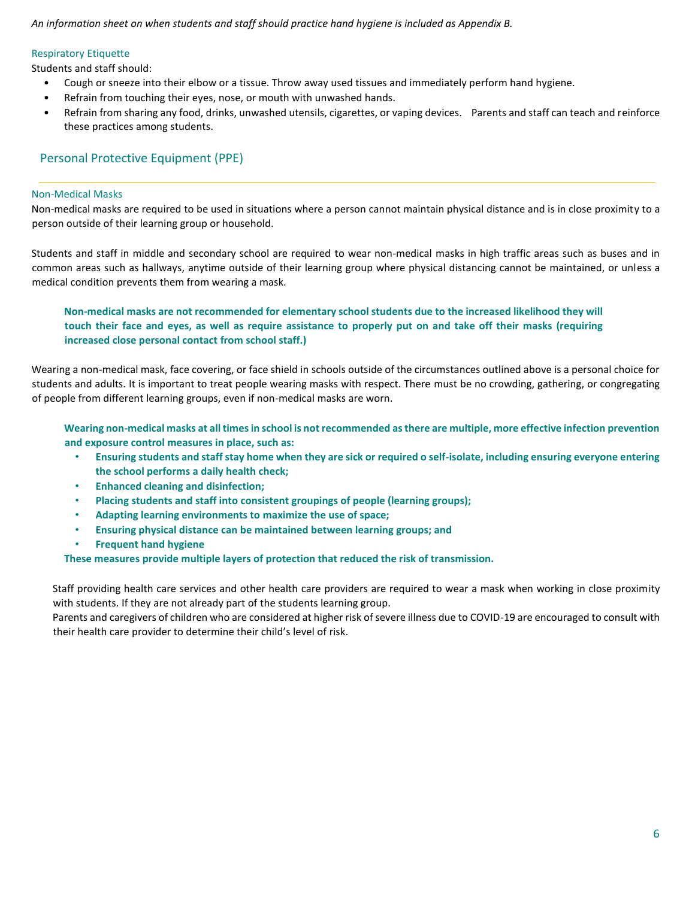*An information sheet on when students and staff should practice hand hygiene is included as Appendix B.* 

### Respiratory Etiquette

Students and staff should:

- Cough or sneeze into their elbow or a tissue. Throw away used tissues and immediately perform hand hygiene.
- Refrain from touching their eyes, nose, or mouth with unwashed hands.
- Refrain from sharing any food, drinks, unwashed utensils, cigarettes, or vaping devices. Parents and staff can teach and reinforce these practices among students.

### Personal Protective Equipment (PPE)

### Non-Medical Masks

Non-medical masks are required to be used in situations where a person cannot maintain physical distance and is in close proximity to a person outside of their learning group or household.

Students and staff in middle and secondary school are required to wear non-medical masks in high traffic areas such as buses and in common areas such as hallways, anytime outside of their learning group where physical distancing cannot be maintained, or unless a medical condition prevents them from wearing a mask.

**Non-medical masks are not recommended for elementary school students due to the increased likelihood they will touch their face and eyes, as well as require assistance to properly put on and take off their masks (requiring increased close personal contact from school staff.)** 

Wearing a non-medical mask, face covering, or face shield in schools outside of the circumstances outlined above is a personal choice for students and adults. It is important to treat people wearing masks with respect. There must be no crowding, gathering, or congregating of people from different learning groups, even if non-medical masks are worn.

**Wearing non-medical masks at all times in school is not recommended as there are multiple, more effective infection prevention and exposure control measures in place, such as:** 

- **Ensuring students and staff stay home when they are sick or required o self-isolate, including ensuring everyone entering the school performs a daily health check;**
- **Enhanced cleaning and disinfection;**
- **Placing students and staff into consistent groupings of people (learning groups);**
- **Adapting learning environments to maximize the use of space;**
- **Ensuring physical distance can be maintained between learning groups; and**
- **Frequent hand hygiene**

**These measures provide multiple layers of protection that reduced the risk of transmission.** 

Staff providing health care services and other health care providers are required to wear a mask when working in close proximity with students. If they are not already part of the students learning group.

Parents and caregivers of children who are considered at higher risk of severe illness due to COVID-19 are encouraged to consult with their health care provider to determine their child's level of risk.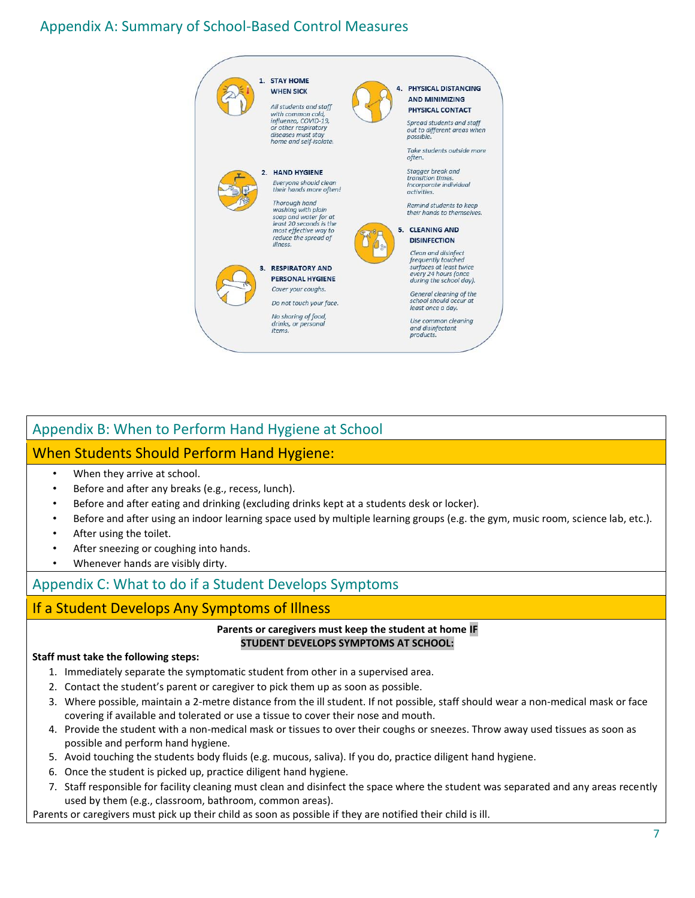# Appendix A: Summary of School-Based Control Measures



# Appendix B: When to Perform Hand Hygiene at School

## When Students Should Perform Hand Hygiene:

- When they arrive at school.
- Before and after any breaks (e.g., recess, lunch).
- Before and after eating and drinking (excluding drinks kept at a students desk or locker).
- Before and after using an indoor learning space used by multiple learning groups (e.g. the gym, music room, science lab, etc.).
- After using the toilet.
- After sneezing or coughing into hands.
- Whenever hands are visibly dirty.

# Appendix C: What to do if a Student Develops Symptoms

# If a Student Develops Any Symptoms of Illness

### **Parents or caregivers must keep the student at home IF STUDENT DEVELOPS SYMPTOMS AT SCHOOL:**

### **Staff must take the following steps:**

- 1. Immediately separate the symptomatic student from other in a supervised area.
- 2. Contact the student's parent or caregiver to pick them up as soon as possible.
- 3. Where possible, maintain a 2-metre distance from the ill student. If not possible, staff should wear a non-medical mask or face covering if available and tolerated or use a tissue to cover their nose and mouth.
- 4. Provide the student with a non-medical mask or tissues to over their coughs or sneezes. Throw away used tissues as soon as possible and perform hand hygiene.
- 5. Avoid touching the students body fluids (e.g. mucous, saliva). If you do, practice diligent hand hygiene.
- 6. Once the student is picked up, practice diligent hand hygiene.
- 7. Staff responsible for facility cleaning must clean and disinfect the space where the student was separated and any areas recently used by them (e.g., classroom, bathroom, common areas).

Parents or caregivers must pick up their child as soon as possible if they are notified their child is ill.